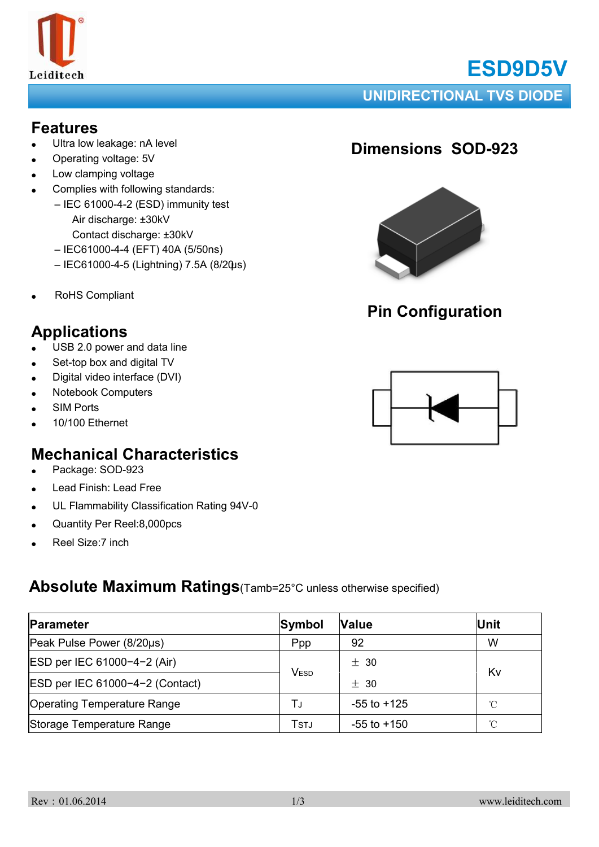

# **ESD9D5V**

#### **UNIDIRECTIONAL TVS DIODE**

#### **Features**

- Ultra low leakage: nA level
- Operating voltage: 5V
- Low clamping voltage
- Complies with following standards:
	- IEC 61000-4-2 (ESD) immunity test Air discharge: ±30kV Contact discharge: ±30kV
	- IEC61000-4-4 (EFT) 40A (5/50ns)
	- IEC61000-4-5 (Lightning) 7.5A (8/20μs)
- RoHS Compliant

## **Applications**

- USB 2.0 power and data line
- Set-top box and digital TV
- Digital video interface (DVI)
- **Notebook Computers**
- **SIM Ports**
- 10/100 Ethernet

## **Mechanical Characteristics**

- Package: SOD-923
- Lead Finish: Lead Free
- UL Flammability Classification Rating 94V-0
- Quantity Per Reel:8,000pcs
- Reel Size:7 inch

#### **Absolute Maximum Ratings**(Tamb=25°C unless otherwise specified)

| Parameter                          | Symbol | <b>Value</b>    | <b>Unit</b>  |
|------------------------------------|--------|-----------------|--------------|
| Peak Pulse Power (8/20µs)          | Ppp    | 92              | W            |
| ESD per IEC 61000-4-2 (Air)        | VESD   | ± 30            | Kv           |
| ESD per IEC 61000-4-2 (Contact)    |        | $+30$           |              |
| <b>Operating Temperature Range</b> | T.ı    | $-55$ to $+125$ | $^{\circ}$ C |
| Storage Temperature Range          | Tstj   | $-55$ to $+150$ | °C           |

## **Dimensions SOD-923**



## **Pin Configuration**

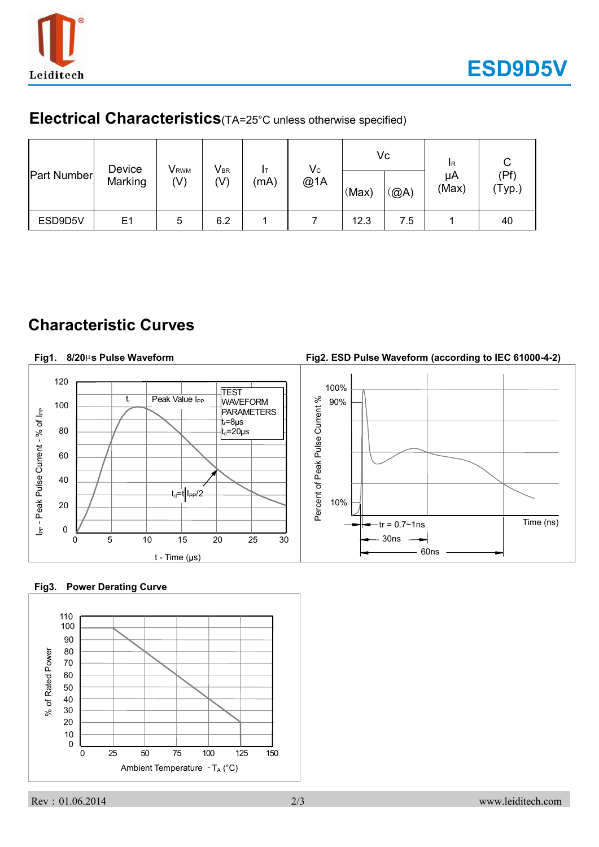

#### **Electrical Characteristics**(TA=25°C unless otherwise specified)

| <b>Part Number</b> | Device<br>Marking | <b>V</b> <sub>RWM</sub><br>$(\mathsf{V})$ | $V_{BR}$<br>(V) | Iт<br>(mA) | $V_{C}$<br>@1A | (Max) | Vc<br>(@A) | <b>I</b> R<br>μA<br>(Max) | (Pf)<br>(Typ.) |
|--------------------|-------------------|-------------------------------------------|-----------------|------------|----------------|-------|------------|---------------------------|----------------|
| ESD9D5V            | E <sub>1</sub>    | 5                                         | 6.2             |            |                | 12.3  | 7.5        |                           | 40             |

#### **Characteristic Curves**

#### **Fig2. ESD Pulse Waveform (according to IEC 61000-4-2) Fig1. 8/20**µ**s Pulse Waveform** 120 100% **TEST** Peak Value I<sub>PP</sub> tr Percent of Peak Pulse Current % 90% WAVEFORM Percent of Peak Pulse Current % 100 I<sub>PP</sub> - Peak Pulse Current - % of I<sub>PP</sub> **PARAMETERS** I<sub>PP</sub> - Peak Pulse Current - % of I<sub>PP</sub>  $t_r = 8 \mu s$ 80  $t_{d}$ =20 $\mu$ s 60 40  $t_d$ =t I<sub>PP</sub>/2 10% 20  $-{\rm tr} = 0.7 \sim 1$ ns  $\vert$  Time (ns) 0 30ns 0 5 10 15 20 25 30 60ns  $t - Time (µs)$